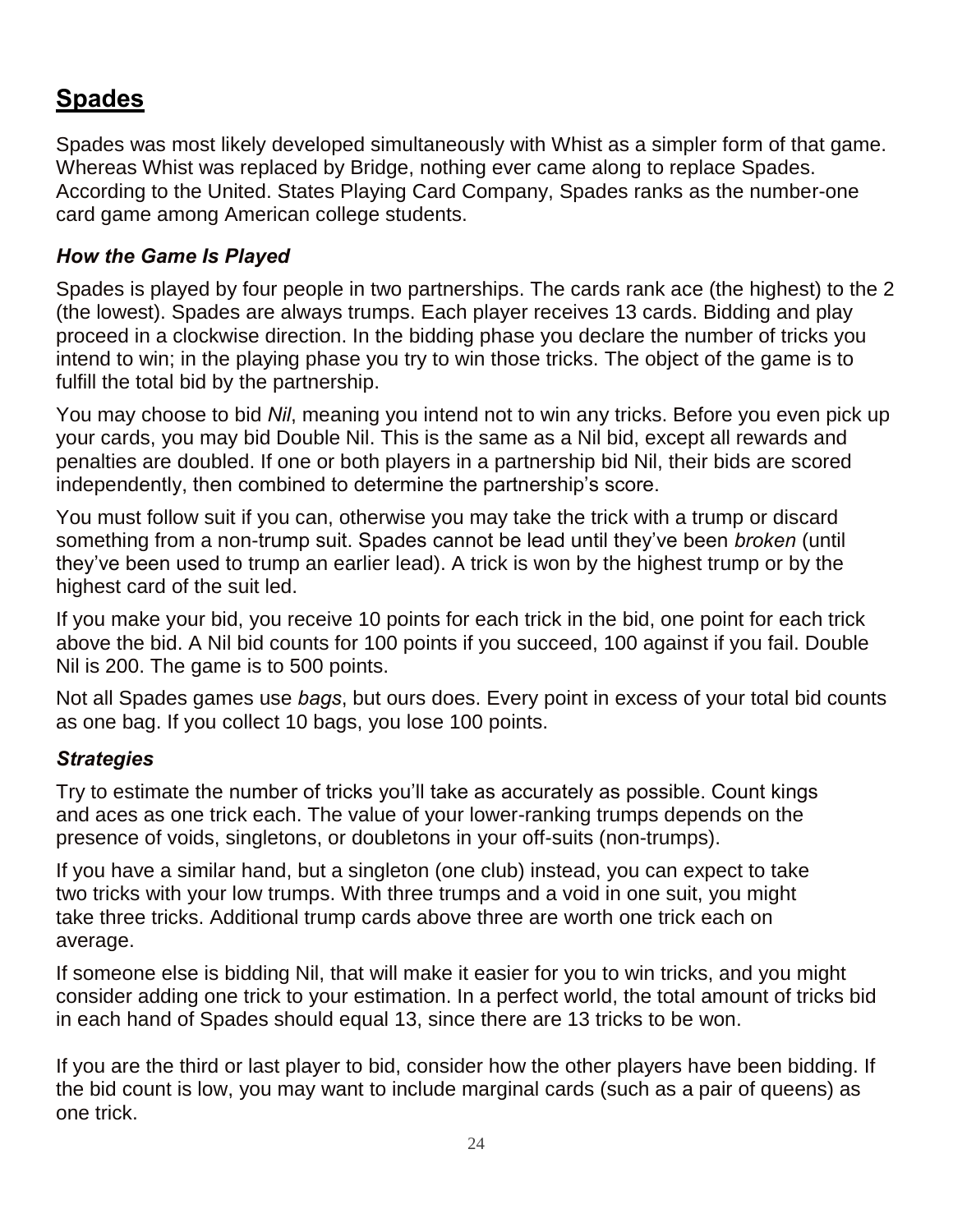## **Spades**

Spades was most likely developed simultaneously with Whist as a simpler form of that game. Whereas Whist was replaced by Bridge, nothing ever came along to replace Spades. According to the United. States Playing Card Company, Spades ranks as the number-one card game among American college students.

## *How the Game Is Played*

Spades is played by four people in two partnerships. The cards rank ace (the highest) to the 2 (the lowest). Spades are always trumps. Each player receives 13 cards. Bidding and play proceed in a clockwise direction. In the bidding phase you declare the number of tricks you intend to win; in the playing phase you try to win those tricks. The object of the game is to fulfill the total bid by the partnership.

You may choose to bid *Nil*, meaning you intend not to win any tricks. Before you even pick up your cards, you may bid Double Nil. This is the same as a Nil bid, except all rewards and penalties are doubled. If one or both players in a partnership bid Nil, their bids are scored independently, then combined to determine the partnership's score.

You must follow suit if you can, otherwise you may take the trick with a trump or discard something from a non-trump suit. Spades cannot be lead until they've been *broken* (until they've been used to trump an earlier lead). A trick is won by the highest trump or by the highest card of the suit led.

If you make your bid, you receive 10 points for each trick in the bid, one point for each trick above the bid. A Nil bid counts for 100 points if you succeed, 100 against if you fail. Double Nil is 200. The game is to 500 points.

Not all Spades games use *bags*, but ours does. Every point in excess of your total bid counts as one bag. If you collect 10 bags, you lose 100 points.

## *Strategies*

Try to estimate the number of tricks you'll take as accurately as possible. Count kings and aces as one trick each. The value of your lower-ranking trumps depends on the presence of voids, singletons, or doubletons in your off-suits (non-trumps).

If you have a similar hand, but a singleton (one club) instead, you can expect to take two tricks with your low trumps. With three trumps and a void in one suit, you might take three tricks. Additional trump cards above three are worth one trick each on average.

If someone else is bidding Nil, that will make it easier for you to win tricks, and you might consider adding one trick to your estimation. In a perfect world, the total amount of tricks bid in each hand of Spades should equal 13, since there are 13 tricks to be won.

If you are the third or last player to bid, consider how the other players have been bidding. If the bid count is low, you may want to include marginal cards (such as a pair of queens) as one trick.